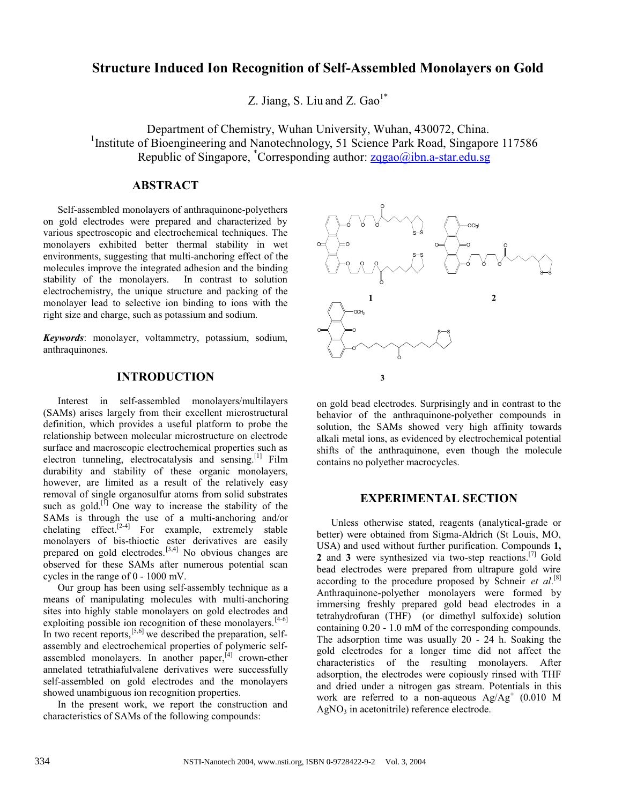# **Structure Induced Ion Recognition of Self-Assembled Monolayers on Gold**

Z. Jiang, S. Liu and Z.  $Gao^{1*}$ 

Department of Chemistry, Wuhan University, Wuhan, 430072, China. <sup>1</sup>Institute of Bioengineering and Nanotechnology, 51 Science Park Road, Singapore 117586 Republic of Singapore, Corresponding author: zqgao@ibn.a-star.edu.sg

### **ABSTRACT**

Self-assembled monolayers of anthraquinone-polyethers on gold electrodes were prepared and characterized by various spectroscopic and electrochemical techniques. The monolayers exhibited better thermal stability in wet environments, suggesting that multi-anchoring effect of the molecules improve the integrated adhesion and the binding stability of the monolayers. In contrast to solution electrochemistry, the unique structure and packing of the monolayer lead to selective ion binding to ions with the right size and charge, such as potassium and sodium.

*Keywords*: monolayer, voltammetry, potassium, sodium, anthraquinones.

## **INTRODUCTION**

Interest in self-assembled monolayers/multilayers (SAMs) arises largely from their excellent microstructural definition, which provides a useful platform to probe the relationship between molecular microstructure on electrode surface and macroscopic electrochemical properties such as electron tunneling, electrocatalysis and sensing.[1] Film durability and stability of these organic monolayers, however, are limited as a result of the relatively easy removal of single organosulfur atoms from solid substrates such as gold.<sup>[1]</sup> One way to increase the stability of the SAMs is through the use of a multi-anchoring and/or chelating effect.<sup>[2-4]</sup> For example, extremely stable monolayers of bis-thioctic ester derivatives are easily prepared on gold electrodes.<sup>[3,4]</sup> No obvious changes are observed for these SAMs after numerous potential scan cycles in the range of 0 - 1000 mV.

Our group has been using self-assembly technique as a means of manipulating molecules with multi-anchoring sites into highly stable monolayers on gold electrodes and exploiting possible ion recognition of these monolayers.  $[4-6]$ In two recent reports,  $[5,6]$  we described the preparation, selfassembly and electrochemical properties of polymeric selfassembled monolayers. In another paper,<sup>[4]</sup> crown-ether annelated tetrathiafulvalene derivatives were successfully self-assembled on gold electrodes and the monolayers showed unambiguous ion recognition properties.

In the present work, we report the construction and characteristics of SAMs of the following compounds:



on gold bead electrodes. Surprisingly and in contrast to the behavior of the anthraquinone-polyether compounds in solution, the SAMs showed very high affinity towards alkali metal ions, as evidenced by electrochemical potential shifts of the anthraquinone, even though the molecule contains no polyether macrocycles.

### **EXPERIMENTAL SECTION**

Unless otherwise stated, reagents (analytical-grade or better) were obtained from Sigma-Aldrich (St Louis, MO, USA) and used without further purification. Compounds **1, 2** and **3** were synthesized via two-step reactions.<sup>[7]</sup> Gold bead electrodes were prepared from ultrapure gold wire according to the procedure proposed by Schneir *et al*. [8] Anthraquinone-polyether monolayers were formed by immersing freshly prepared gold bead electrodes in a tetrahydrofuran (THF) (or dimethyl sulfoxide) solution containing 0.20 - 1.0 mM of the corresponding compounds. The adsorption time was usually 20 - 24 h. Soaking the gold electrodes for a longer time did not affect the characteristics of the resulting monolayers. After adsorption, the electrodes were copiously rinsed with THF and dried under a nitrogen gas stream. Potentials in this work are referred to a non-aqueous  $Ag/Ag^+$  (0.010 M  $AgNO<sub>3</sub>$  in acetonitrile) reference electrode.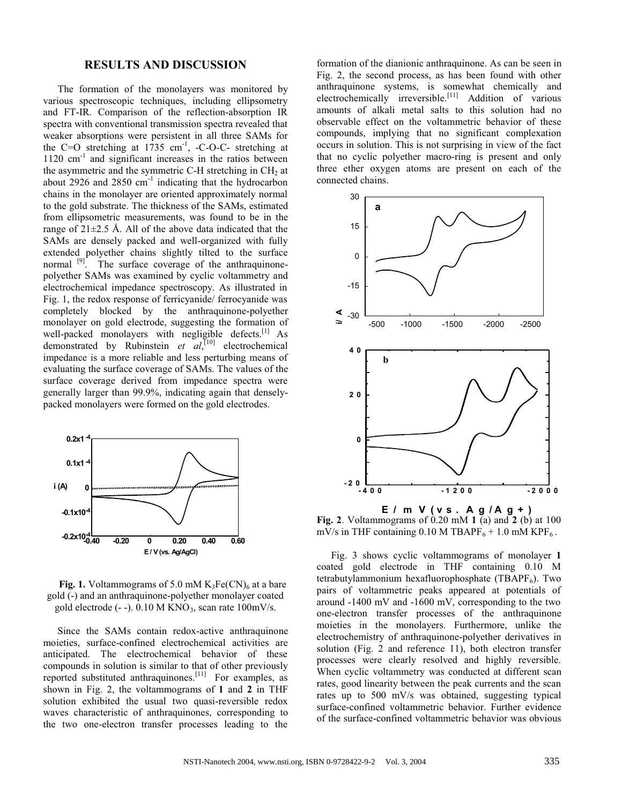#### **RESULTS AND DISCUSSION**

The formation of the monolayers was monitored by various spectroscopic techniques, including ellipsometry and FT-IR. Comparison of the reflection-absorption IR spectra with conventional transmission spectra revealed that weaker absorptions were persistent in all three SAMs for the C=O stretching at  $1735 \text{ cm}^{-1}$ , -C-O-C- stretching at  $1120 \text{ cm}^{-1}$  and significant increases in the ratios between the asymmetric and the symmetric C-H stretching in  $CH<sub>2</sub>$  at about 2926 and 2850 cm<sup>-1</sup> indicating that the hydrocarbon chains in the monolayer are oriented approximately normal to the gold substrate. The thickness of the SAMs, estimated from ellipsometric measurements, was found to be in the range of 21±2.5 Å. All of the above data indicated that the SAMs are densely packed and well-organized with fully extended polyether chains slightly tilted to the surface normal <sup>[9]</sup>. The surface coverage of the anthraquinonepolyether SAMs was examined by cyclic voltammetry and electrochemical impedance spectroscopy. As illustrated in Fig. 1, the redox response of ferricyanide/ ferrocyanide was completely blocked by the anthraquinone-polyether monolayer on gold electrode, suggesting the formation of well-packed monolayers with negligible defects. $\begin{bmatrix} 1 \end{bmatrix}$  As demonstrated by Rubinstein *et al*, [10] electrochemical impedance is a more reliable and less perturbing means of evaluating the surface coverage of SAMs. The values of the surface coverage derived from impedance spectra were generally larger than 99.9%, indicating again that denselypacked monolayers were formed on the gold electrodes.



**Fig. 1.** Voltammograms of 5.0 mM  $K_3Fe(CN)_6$  at a bare gold (-) and an anthraquinone-polyether monolayer coated gold electrode  $(-)$ . 0.10 M KNO<sub>3</sub>, scan rate 100mV/s.

Since the SAMs contain redox-active anthraquinone moieties, surface-confined electrochemical activities are anticipated. The electrochemical behavior of these compounds in solution is similar to that of other previously reported substituted anthraquinones.<sup>[11]</sup> For examples, as shown in Fig. 2, the voltammograms of **1** and **2** in THF solution exhibited the usual two quasi-reversible redox waves characteristic of anthraquinones, corresponding to the two one-electron transfer processes leading to the

formation of the dianionic anthraquinone. As can be seen in Fig. 2, the second process, as has been found with other anthraquinone systems, is somewhat chemically and electrochemically irreversible.<sup>[11]</sup> Addition of various amounts of alkali metal salts to this solution had no observable effect on the voltammetric behavior of these compounds, implying that no significant complexation occurs in solution. This is not surprising in view of the fact that no cyclic polyether macro-ring is present and only three ether oxygen atoms are present on each of the connected chains.



**Fig. 2**. Voltammograms of  $\dot{\textbf{0}}$ , 20 mM **1** (a) and **2** (b) at 100 mV/s in THF containing 0.10 M TBAPF $_6$  + 1.0 mM KPF $_6$ .

Fig. 3 shows cyclic voltammograms of monolayer **1** coated gold electrode in THF containing 0.10 M tetrabutylammonium hexafluorophosphate (TBAPF $_6$ ). Two pairs of voltammetric peaks appeared at potentials of around -1400 mV and -1600 mV, corresponding to the two one-electron transfer processes of the anthraquinone moieties in the monolayers. Furthermore, unlike the electrochemistry of anthraquinone-polyether derivatives in solution (Fig. 2 and reference 11), both electron transfer processes were clearly resolved and highly reversible. When cyclic voltammetry was conducted at different scan rates, good linearity between the peak currents and the scan rates up to 500 mV/s was obtained, suggesting typical surface-confined voltammetric behavior. Further evidence of the surface-confined voltammetric behavior was obvious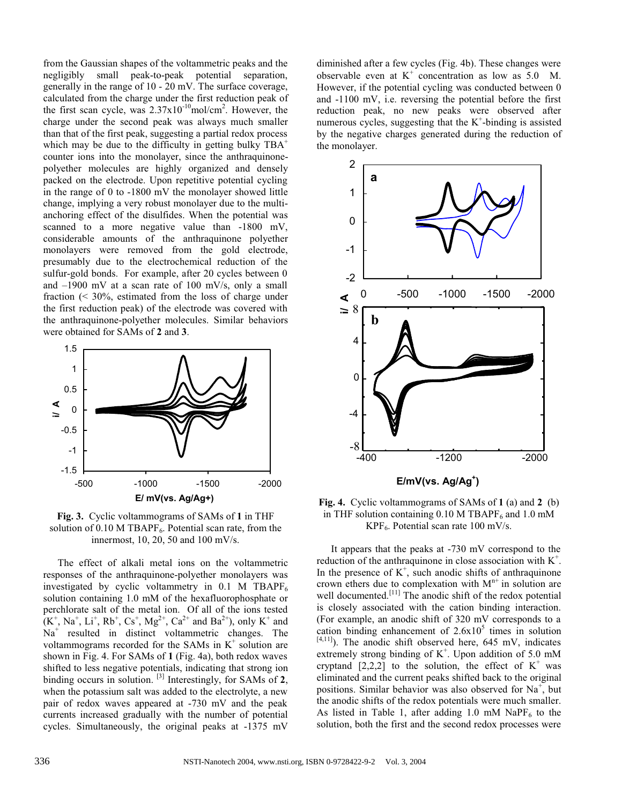from the Gaussian shapes of the voltammetric peaks and the negligibly small peak-to-peak potential separation, generally in the range of 10 - 20 mV. The surface coverage, calculated from the charge under the first reduction peak of the first scan cycle, was  $2.37 \times 10^{-10}$ mol/cm<sup>2</sup>. However, the charge under the second peak was always much smaller than that of the first peak, suggesting a partial redox process which may be due to the difficulty in getting bulky  $TBA^+$ counter ions into the monolayer, since the anthraquinonepolyether molecules are highly organized and densely packed on the electrode. Upon repetitive potential cycling in the range of 0 to -1800 mV the monolayer showed little change, implying a very robust monolayer due to the multianchoring effect of the disulfides. When the potential was scanned to a more negative value than -1800 mV, considerable amounts of the anthraquinone polyether monolayers were removed from the gold electrode, presumably due to the electrochemical reduction of the sulfur-gold bonds. For example, after 20 cycles between 0 and –1900 mV at a scan rate of 100 mV/s, only a small fraction (< 30%, estimated from the loss of charge under the first reduction peak) of the electrode was covered with the anthraquinone-polyether molecules. Similar behaviors were obtained for SAMs of **2** and **3**.



**Fig. 3.** Cyclic voltammograms of SAMs of **1** in THF solution of 0.10 M TBAPF<sub>6</sub>. Potential scan rate, from the innermost, 10, 20, 50 and 100 mV/s.

The effect of alkali metal ions on the voltammetric responses of the anthraquinone-polyether monolayers was investigated by cyclic voltammetry in  $0.1$  M TBAPF<sub>6</sub> solution containing 1.0 mM of the hexafluorophosphate or perchlorate salt of the metal ion. Of all of the ions tested  $(K^+, Na^+, Li^+, Rb^+, Cs^+, Mg^{2+}, Ca^{2+}$  and  $Ba^{2+}$ ), only  $K^+$  and  $Na<sup>+</sup>$  resulted in distinct voltammetric changes. The voltammograms recorded for the SAMs in  $K^+$  solution are shown in Fig. 4. For SAMs of **1** (Fig. 4a), both redox waves shifted to less negative potentials, indicating that strong ion binding occurs in solution. [3] Interestingly, for SAMs of **2**, when the potassium salt was added to the electrolyte, a new pair of redox waves appeared at -730 mV and the peak currents increased gradually with the number of potential cycles. Simultaneously, the original peaks at -1375 mV

diminished after a few cycles (Fig. 4b). These changes were observable even at  $K^+$  concentration as low as 5.0 M. However, if the potential cycling was conducted between 0 and -1100 mV, i.e. reversing the potential before the first reduction peak, no new peaks were observed after numerous cycles, suggesting that the  $K^+$ -binding is assisted by the negative charges generated during the reduction of the monolayer.



**Fig. 4.** Cyclic voltammograms of SAMs of **1** (a) and **2** (b) in THF solution containing  $0.10$  M TBAPF<sub>6</sub> and  $1.0$  mM  $KPF_6$ . Potential scan rate 100 mV/s.

It appears that the peaks at -730 mV correspond to the reduction of the anthraquinone in close association with  $K^+$ . In the presence of  $K^+$ , such anodic shifts of anthraquinone crown ethers due to complexation with  $M<sup>n+</sup>$  in solution are well documented.<sup>[11]</sup> The anodic shift of the redox potential is closely associated with the cation binding interaction. (For example, an anodic shift of 320 mV corresponds to a cation binding enhancement of  $2.6x10<sup>5</sup>$  times in solution  $[4,11]$ ). The anodic shift observed here, 645 mV, indicates extremely strong binding of  $K^+$ . Upon addition of 5.0 mM cryptand [2,2,2] to the solution, the effect of  $K^+$  was eliminated and the current peaks shifted back to the original positions. Similar behavior was also observed for  $Na<sup>+</sup>$ , but the anodic shifts of the redox potentials were much smaller. As listed in Table 1, after adding 1.0 mM NaP $F_6$  to the solution, both the first and the second redox processes were